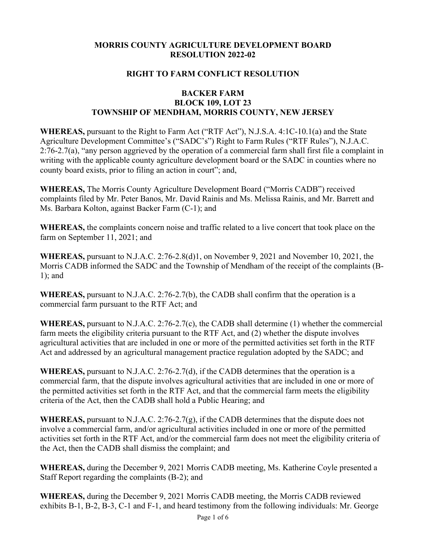#### **MORRIS COUNTY AGRICULTURE DEVELOPMENT BOARD RESOLUTION 2022-02**

#### **RIGHT TO FARM CONFLICT RESOLUTION**

#### **BACKER FARM BLOCK 109, LOT 23 TOWNSHIP OF MENDHAM, MORRIS COUNTY, NEW JERSEY**

**WHEREAS,** pursuant to the Right to Farm Act ("RTF Act"), N.J.S.A. 4:1C-10.1(a) and the State Agriculture Development Committee's ("SADC's") Right to Farm Rules ("RTF Rules"), N.J.A.C. 2:76-2.7(a), "any person aggrieved by the operation of a commercial farm shall first file a complaint in writing with the applicable county agriculture development board or the SADC in counties where no county board exists, prior to filing an action in court"; and,

**WHEREAS,** The Morris County Agriculture Development Board ("Morris CADB") received complaints filed by Mr. Peter Banos, Mr. David Rainis and Ms. Melissa Rainis, and Mr. Barrett and Ms. Barbara Kolton, against Backer Farm (C-1); and

**WHEREAS,** the complaints concern noise and traffic related to a live concert that took place on the farm on September 11, 2021; and

**WHEREAS,** pursuant to N.J.A.C. 2:76-2.8(d)1, on November 9, 2021 and November 10, 2021, the Morris CADB informed the SADC and the Township of Mendham of the receipt of the complaints (B-1); and

**WHEREAS,** pursuant to N.J.A.C. 2:76-2.7(b), the CADB shall confirm that the operation is a commercial farm pursuant to the RTF Act; and

**WHEREAS,** pursuant to N.J.A.C. 2:76-2.7(c), the CADB shall determine (1) whether the commercial farm meets the eligibility criteria pursuant to the RTF Act, and (2) whether the dispute involves agricultural activities that are included in one or more of the permitted activities set forth in the RTF Act and addressed by an agricultural management practice regulation adopted by the SADC; and

**WHEREAS,** pursuant to N.J.A.C. 2:76-2.7(d), if the CADB determines that the operation is a commercial farm, that the dispute involves agricultural activities that are included in one or more of the permitted activities set forth in the RTF Act, and that the commercial farm meets the eligibility criteria of the Act, then the CADB shall hold a Public Hearing; and

**WHEREAS,** pursuant to N.J.A.C. 2:76-2.7(g), if the CADB determines that the dispute does not involve a commercial farm, and/or agricultural activities included in one or more of the permitted activities set forth in the RTF Act, and/or the commercial farm does not meet the eligibility criteria of the Act, then the CADB shall dismiss the complaint; and

**WHEREAS,** during the December 9, 2021 Morris CADB meeting, Ms. Katherine Coyle presented a Staff Report regarding the complaints (B-2); and

**WHEREAS,** during the December 9, 2021 Morris CADB meeting, the Morris CADB reviewed exhibits B-1, B-2, B-3, C-1 and F-1, and heard testimony from the following individuals: Mr. George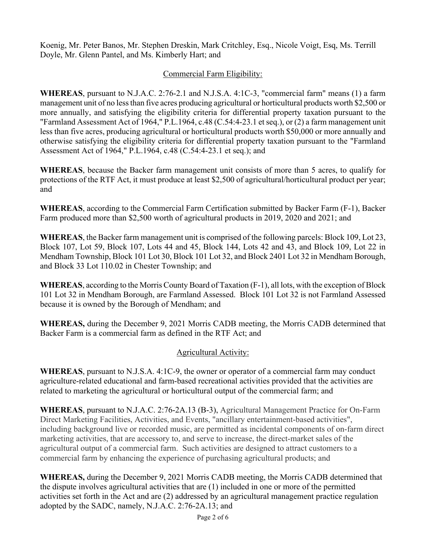Koenig, Mr. Peter Banos, Mr. Stephen Dreskin, Mark Critchley, Esq., Nicole Voigt, Esq, Ms. Terrill Doyle, Mr. Glenn Pantel, and Ms. Kimberly Hart; and

### Commercial Farm Eligibility:

**WHEREAS**, pursuant to N.J.A.C. 2:76-2.1 and N.J.S.A. 4:1C-3, "commercial farm" means (1) a farm management unit of no less than five acres producing agricultural or horticultural products worth \$2,500 or more annually, and satisfying the eligibility criteria for differential property taxation pursuant to the "Farmland Assessment Act of 1964," P.L.1964, c.48 (C.54:4-23.1 et seq.), or (2) a farm management unit less than five acres, producing agricultural or horticultural products worth \$50,000 or more annually and otherwise satisfying the eligibility criteria for differential property taxation pursuant to the "Farmland Assessment Act of 1964," P.L.1964, c.48 (C.54:4-23.1 et seq.); and

**WHEREAS**, because the Backer farm management unit consists of more than 5 acres, to qualify for protections of the RTF Act, it must produce at least \$2,500 of agricultural/horticultural product per year; and

**WHEREAS**, according to the Commercial Farm Certification submitted by Backer Farm (F-1), Backer Farm produced more than \$2,500 worth of agricultural products in 2019, 2020 and 2021; and

**WHEREAS**, the Backer farm management unit is comprised of the following parcels: Block 109, Lot 23, Block 107, Lot 59, Block 107, Lots 44 and 45, Block 144, Lots 42 and 43, and Block 109, Lot 22 in Mendham Township, Block 101 Lot 30, Block 101 Lot 32, and Block 2401 Lot 32 in Mendham Borough, and Block 33 Lot 110.02 in Chester Township; and

**WHEREAS**, according to the Morris County Board of Taxation (F-1), all lots, with the exception of Block 101 Lot 32 in Mendham Borough, are Farmland Assessed. Block 101 Lot 32 is not Farmland Assessed because it is owned by the Borough of Mendham; and

**WHEREAS,** during the December 9, 2021 Morris CADB meeting, the Morris CADB determined that Backer Farm is a commercial farm as defined in the RTF Act; and

# Agricultural Activity:

**WHEREAS**, pursuant to N.J.S.A. 4:1C-9, the owner or operator of a commercial farm may conduct agriculture-related educational and farm-based recreational activities provided that the activities are related to marketing the agricultural or horticultural output of the commercial farm; and

**WHEREAS**, pursuant to N.J.A.C. [2:76-2A.13](https://2:76-2A.13) (B-3), Agricultural Management Practice for On-Farm Direct Marketing Facilities, Activities, and Events, "ancillary entertainment-based activities", including background live or recorded music, are permitted as incidental components of on-farm direct marketing activities, that are accessory to, and serve to increase, the direct-market sales of the agricultural output of a commercial farm. Such activities are designed to attract customers to a commercial farm by enhancing the experience of purchasing agricultural products; and

**WHEREAS,** during the December 9, 2021 Morris CADB meeting, the Morris CADB determined that the dispute involves agricultural activities that are (1) included in one or more of the permitted activities set forth in the Act and are (2) addressed by an agricultural management practice regulation adopted by the SADC, namely, N.J.A.C. [2:76-2A.13;](https://2:76-2A.13) and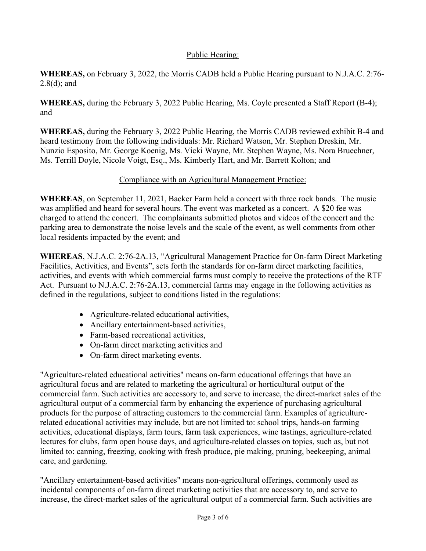### Public Hearing:

**WHEREAS,** on February 3, 2022, the Morris CADB held a Public Hearing pursuant to N.J.A.C. 2:76- 2.8(d); and

**WHEREAS,** during the February 3, 2022 Public Hearing, Ms. Coyle presented a Staff Report (B-4); and

**WHEREAS,** during the February 3, 2022 Public Hearing, the Morris CADB reviewed exhibit B-4 and heard testimony from the following individuals: Mr. Richard Watson, Mr. Stephen Dreskin, Mr. Nunzio Esposito, Mr. George Koenig, Ms. Vicki Wayne, Mr. Stephen Wayne, Ms. Nora Bruechner, Ms. Terrill Doyle, Nicole Voigt, Esq., Ms. Kimberly Hart, and Mr. Barrett Kolton; and

# Compliance with an Agricultural Management Practice:

**WHEREAS**, on September 11, 2021, Backer Farm held a concert with three rock bands. The music was amplified and heard for several hours. The event was marketed as a concert. A \$20 fee was charged to attend the concert. The complainants submitted photos and videos of the concert and the parking area to demonstrate the noise levels and the scale of the event, as well comments from other local residents impacted by the event; and

**WHEREAS**, N.J.A.C. [2:76-2A.13,](https://2:76-2A.13) "Agricultural Management Practice for On-farm Direct Marketing Facilities, Activities, and Events", sets forth the standards for on-farm direct marketing facilities, activities, and events with which commercial farms must comply to receive the protections of the RTF Act. Pursuant to N.J.A.C. [2:76-2A.13](https://2:76-2A.13), commercial farms may engage in the following activities as defined in the regulations, subject to conditions listed in the regulations:

- Agriculture-related educational activities,
- Ancillary entertainment-based activities,
- Farm-based recreational activities,
- On-farm direct marketing activities and
- On-farm direct marketing events.

"Agriculture-related educational activities" means on-farm educational offerings that have an agricultural focus and are related to marketing the agricultural or horticultural output of the commercial farm. Such activities are accessory to, and serve to increase, the direct-market sales of the agricultural output of a commercial farm by enhancing the experience of purchasing agricultural products for the purpose of attracting customers to the commercial farm. Examples of agriculturerelated educational activities may include, but are not limited to: school trips, hands-on farming activities, educational displays, farm tours, farm task experiences, wine tastings, agriculture-related lectures for clubs, farm open house days, and agriculture-related classes on topics, such as, but not limited to: canning, freezing, cooking with fresh produce, pie making, pruning, beekeeping, animal care, and gardening.

"Ancillary entertainment-based activities" means non-agricultural offerings, commonly used as incidental components of on-farm direct marketing activities that are accessory to, and serve to increase, the direct-market sales of the agricultural output of a commercial farm. Such activities are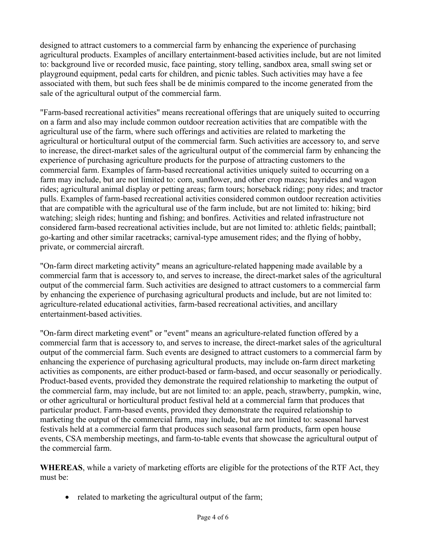designed to attract customers to a commercial farm by enhancing the experience of purchasing agricultural products. Examples of ancillary entertainment-based activities include, but are not limited to: background live or recorded music, face painting, story telling, sandbox area, small swing set or playground equipment, pedal carts for children, and picnic tables. Such activities may have a fee associated with them, but such fees shall be de minimis compared to the income generated from the sale of the agricultural output of the commercial farm.

"Farm-based recreational activities" means recreational offerings that are uniquely suited to occurring on a farm and also may include common outdoor recreation activities that are compatible with the agricultural use of the farm, where such offerings and activities are related to marketing the agricultural or horticultural output of the commercial farm. Such activities are accessory to, and serve to increase, the direct-market sales of the agricultural output of the commercial farm by enhancing the experience of purchasing agriculture products for the purpose of attracting customers to the commercial farm. Examples of farm-based recreational activities uniquely suited to occurring on a farm may include, but are not limited to: corn, sunflower, and other crop mazes; hayrides and wagon rides; agricultural animal display or petting areas; farm tours; horseback riding; pony rides; and tractor pulls. Examples of farm-based recreational activities considered common outdoor recreation activities that are compatible with the agricultural use of the farm include, but are not limited to: hiking; bird watching; sleigh rides; hunting and fishing; and bonfires. Activities and related infrastructure not considered farm-based recreational activities include, but are not limited to: athletic fields; paintball; go-karting and other similar racetracks; carnival-type amusement rides; and the flying of hobby, private, or commercial aircraft.

"On-farm direct marketing activity" means an agriculture-related happening made available by a commercial farm that is accessory to, and serves to increase, the direct-market sales of the agricultural output of the commercial farm. Such activities are designed to attract customers to a commercial farm by enhancing the experience of purchasing agricultural products and include, but are not limited to: agriculture-related educational activities, farm-based recreational activities, and ancillary entertainment-based activities.

"On-farm direct marketing event" or "event" means an agriculture-related function offered by a commercial farm that is accessory to, and serves to increase, the direct-market sales of the agricultural output of the commercial farm. Such events are designed to attract customers to a commercial farm by enhancing the experience of purchasing agricultural products, may include on-farm direct marketing activities as components, are either product-based or farm-based, and occur seasonally or periodically. Product-based events, provided they demonstrate the required relationship to marketing the output of the commercial farm, may include, but are not limited to: an apple, peach, strawberry, pumpkin, wine, or other agricultural or horticultural product festival held at a commercial farm that produces that particular product. Farm-based events, provided they demonstrate the required relationship to marketing the output of the commercial farm, may include, but are not limited to: seasonal harvest festivals held at a commercial farm that produces such seasonal farm products, farm open house events, CSA membership meetings, and farm-to-table events that showcase the agricultural output of the commercial farm.

**WHEREAS**, while a variety of marketing efforts are eligible for the protections of the RTF Act, they must be:

• related to marketing the agricultural output of the farm;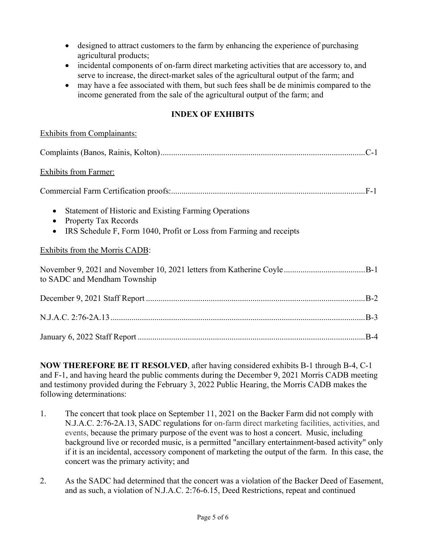- designed to attract customers to the farm by enhancing the experience of purchasing agricultural products;
- incidental components of on-farm direct marketing activities that are accessory to, and serve to increase, the direct-market sales of the agricultural output of the farm; and
- income generated from the sale of the agricultural output of the farm; and may have a fee associated with them, but such fees shall be de minimis compared to the

## **INDEX OF EXHIBITS**

| <b>Exhibits from Complainants:</b>                                                                                                                                                                 |
|----------------------------------------------------------------------------------------------------------------------------------------------------------------------------------------------------|
|                                                                                                                                                                                                    |
| <b>Exhibits from Farmer:</b>                                                                                                                                                                       |
|                                                                                                                                                                                                    |
| Statement of Historic and Existing Farming Operations<br>$\bullet$<br><b>Property Tax Records</b><br>$\bullet$<br>IRS Schedule F, Form 1040, Profit or Loss from Farming and receipts<br>$\bullet$ |
| Exhibits from the Morris CADB:                                                                                                                                                                     |
| to SADC and Mendham Township                                                                                                                                                                       |
|                                                                                                                                                                                                    |
|                                                                                                                                                                                                    |
|                                                                                                                                                                                                    |

**NOW THEREFORE BE IT RESOLVED**, after having considered exhibits B-1 through B-4, C-1 and F-1, and having heard the public comments during the December 9, 2021 Morris CADB meeting and testimony provided during the February 3, 2022 Public Hearing, the Morris CADB makes the following determinations:

- concert was the primary activity; and 1. The concert that took place on September 11, 2021 on the Backer Farm did not comply with N.J.A.C. [2:76-2A.13,](https://2:76-2A.13) SADC regulations for on-farm direct marketing facilities, activities, and events, because the primary purpose of the event was to host a concert. Music, including background live or recorded music, is a permitted "ancillary entertainment-based activity" only if it is an incidental, accessory component of marketing the output of the farm. In this case, the
- 2. As the SADC had determined that the concert was a violation of the Backer Deed of Easement, and as such, a violation of N.J.A.C. [2:76-6.15](https://2:76-6.15), Deed Restrictions, repeat and continued